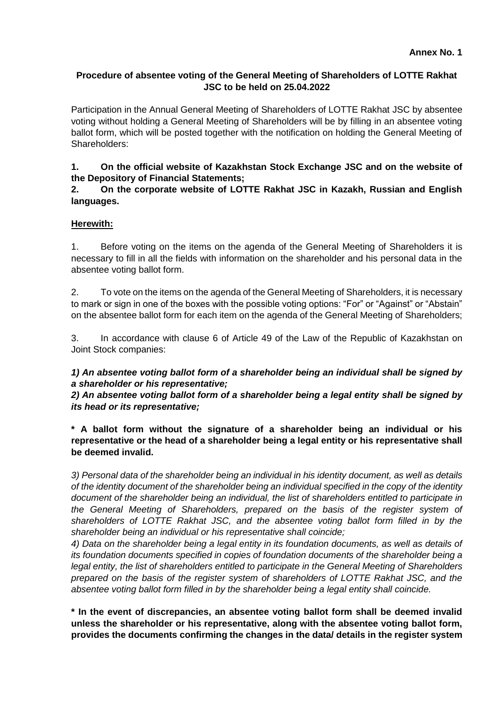# **Procedure of absentee voting of the General Meeting of Shareholders of LOTTE Rakhat JSC to be held on 25.04.2022**

Participation in the Annual General Meeting of Shareholders of LOTTE Rakhat JSC by absentee voting without holding a General Meeting of Shareholders will be by filling in an absentee voting ballot form, which will be posted together with the notification on holding the General Meeting of Shareholders:

**1. On the official website of Kazakhstan Stock Exchange JSC and on the website of the Depository of Financial Statements;**

# **2. On the corporate website of LOTTE Rakhat JSC in Kazakh, Russian and English languages.**

# **Herewith:**

1. Before voting on the items on the agenda of the General Meeting of Shareholders it is necessary to fill in all the fields with information on the shareholder and his personal data in the absentee voting ballot form.

2. To vote on the items on the agenda of the General Meeting of Shareholders, it is necessary to mark or sign in one of the boxes with the possible voting options: "For" or "Against" or "Abstain" on the absentee ballot form for each item on the agenda of the General Meeting of Shareholders;

3. In accordance with clause 6 of Article 49 of the Law of the Republic of Kazakhstan on Joint Stock companies:

*1) An absentee voting ballot form of a shareholder being an individual shall be signed by a shareholder or his representative;* 

*2) An absentee voting ballot form of a shareholder being a legal entity shall be signed by its head or its representative;*

**\* A ballot form without the signature of a shareholder being an individual or his representative or the head of a shareholder being a legal entity or his representative shall be deemed invalid.**

*3) Personal data of the shareholder being an individual in his identity document, as well as details of the identity document of the shareholder being an individual specified in the copy of the identity document of the shareholder being an individual, the list of shareholders entitled to participate in the General Meeting of Shareholders, prepared on the basis of the register system of shareholders of LOTTE Rakhat JSC, and the absentee voting ballot form filled in by the shareholder being an individual or his representative shall coincide;*

*4) Data on the shareholder being a legal entity in its foundation documents, as well as details of its foundation documents specified in copies of foundation documents of the shareholder being a legal entity, the list of shareholders entitled to participate in the General Meeting of Shareholders prepared on the basis of the register system of shareholders of LOTTE Rakhat JSC, and the absentee voting ballot form filled in by the shareholder being a legal entity shall coincide.*

**\* In the event of discrepancies, an absentee voting ballot form shall be deemed invalid unless the shareholder or his representative, along with the absentee voting ballot form, provides the documents confirming the changes in the data/ details in the register system**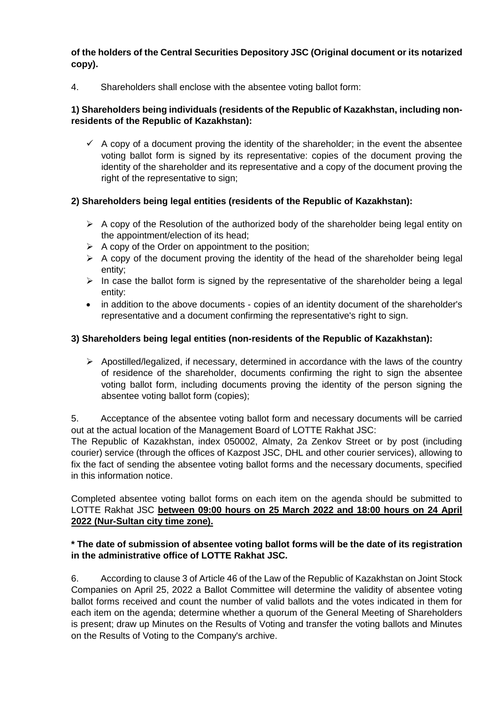**of the holders of the Central Securities Depository JSC (Original document or its notarized copy).**

4. Shareholders shall enclose with the absentee voting ballot form:

# **1) Shareholders being individuals (residents of the Republic of Kazakhstan, including nonresidents of the Republic of Kazakhstan):**

 $\checkmark$  A copy of a document proving the identity of the shareholder; in the event the absentee voting ballot form is signed by its representative: copies of the document proving the identity of the shareholder and its representative and a copy of the document proving the right of the representative to sign;

# **2) Shareholders being legal entities (residents of the Republic of Kazakhstan):**

- $\triangleright$  A copy of the Resolution of the authorized body of the shareholder being legal entity on the appointment/election of its head;
- $\triangleright$  A copy of the Order on appointment to the position;
- $\triangleright$  A copy of the document proving the identity of the head of the shareholder being legal entity;
- $\triangleright$  In case the ballot form is signed by the representative of the shareholder being a legal entity:
- in addition to the above documents copies of an identity document of the shareholder's representative and a document confirming the representative's right to sign.

# **3) Shareholders being legal entities (non-residents of the Republic of Kazakhstan):**

 $\triangleright$  Apostilled/legalized, if necessary, determined in accordance with the laws of the country of residence of the shareholder, documents confirming the right to sign the absentee voting ballot form, including documents proving the identity of the person signing the absentee voting ballot form (copies);

5. Acceptance of the absentee voting ballot form and necessary documents will be carried out at the actual location of the Management Board of LOTTE Rakhat JSC:

The Republic of Kazakhstan, index 050002, Almaty, 2a Zenkov Street or by post (including courier) service (through the offices of Kazpost JSC, DHL and other courier services), allowing to fix the fact of sending the absentee voting ballot forms and the necessary documents, specified in this information notice.

Completed absentee voting ballot forms on each item on the agenda should be submitted to LOTTE Rakhat JSC **between 09:00 hours on 25 March 2022 and 18:00 hours on 24 April 2022 (Nur-Sultan city time zone).**

#### **\* The date of submission of absentee voting ballot forms will be the date of its registration in the administrative office of LOTTE Rakhat JSC.**

6. According to clause 3 of Article 46 of the Law of the Republic of Kazakhstan on Joint Stock Companies on April 25, 2022 a Ballot Committee will determine the validity of absentee voting ballot forms received and count the number of valid ballots and the votes indicated in them for each item on the agenda; determine whether a quorum of the General Meeting of Shareholders is present; draw up Minutes on the Results of Voting and transfer the voting ballots and Minutes on the Results of Voting to the Company's archive.